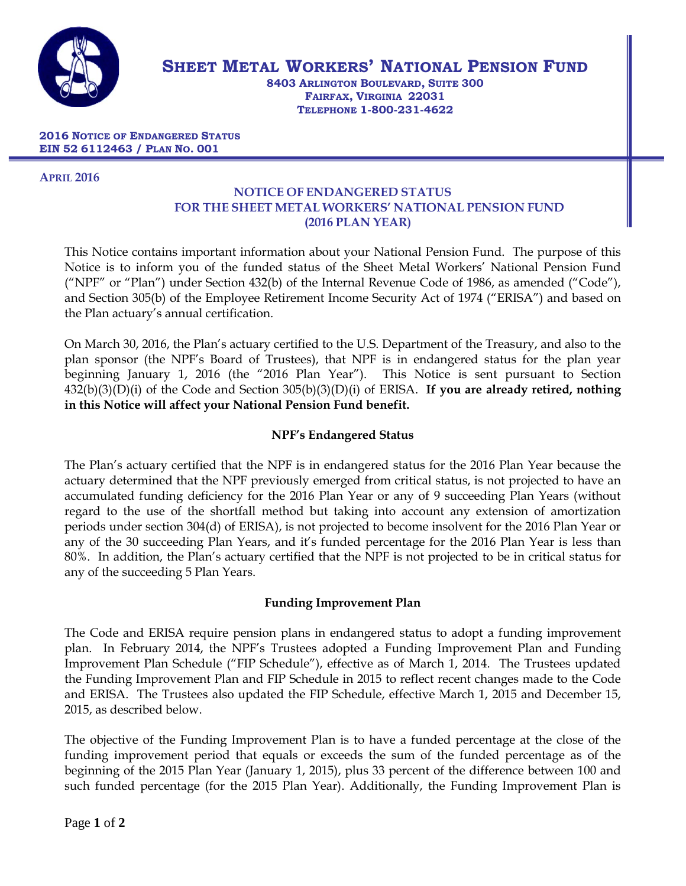

**SHEET METAL WORKERS' NATIONAL PENSION FUND**

**8403 ARLINGTON BOULEVARD, SUITE 300 FAIRFAX, VIRGINIA 22031 TELEPHONE 1-800-231-4622**

#### **2016 NOTICE OF ENDANGERED STATUS EIN 52 6112463 / PLAN NO. 001**

#### **APRIL 2016**

## **NOTICE OF ENDANGERED STATUS FOR THE SHEET METAL WORKERS' NATIONAL PENSION FUND (2016 PLAN YEAR)**

This Notice contains important information about your National Pension Fund. The purpose of this Notice is to inform you of the funded status of the Sheet Metal Workers' National Pension Fund ("NPF" or "Plan") under Section 432(b) of the Internal Revenue Code of 1986, as amended ("Code"), and Section 305(b) of the Employee Retirement Income Security Act of 1974 ("ERISA") and based on the Plan actuary's annual certification.

On March 30, 2016, the Plan's actuary certified to the U.S. Department of the Treasury, and also to the plan sponsor (the NPF's Board of Trustees), that NPF is in endangered status for the plan year beginning January 1, 2016 (the "2016 Plan Year"). This Notice is sent pursuant to Section 432(b)(3)(D)(i) of the Code and Section 305(b)(3)(D)(i) of ERISA. **If you are already retired, nothing in this Notice will affect your National Pension Fund benefit.** 

## **NPF's Endangered Status**

The Plan's actuary certified that the NPF is in endangered status for the 2016 Plan Year because the actuary determined that the NPF previously emerged from critical status, is not projected to have an accumulated funding deficiency for the 2016 Plan Year or any of 9 succeeding Plan Years (without regard to the use of the shortfall method but taking into account any extension of amortization periods under section 304(d) of ERISA), is not projected to become insolvent for the 2016 Plan Year or any of the 30 succeeding Plan Years, and it's funded percentage for the 2016 Plan Year is less than 80%. In addition, the Plan's actuary certified that the NPF is not projected to be in critical status for any of the succeeding 5 Plan Years.

## **Funding Improvement Plan**

The Code and ERISA require pension plans in endangered status to adopt a funding improvement plan. In February 2014, the NPF's Trustees adopted a Funding Improvement Plan and Funding Improvement Plan Schedule ("FIP Schedule"), effective as of March 1, 2014. The Trustees updated the Funding Improvement Plan and FIP Schedule in 2015 to reflect recent changes made to the Code and ERISA. The Trustees also updated the FIP Schedule, effective March 1, 2015 and December 15, 2015, as described below.

The objective of the Funding Improvement Plan is to have a funded percentage at the close of the funding improvement period that equals or exceeds the sum of the funded percentage as of the beginning of the 2015 Plan Year (January 1, 2015), plus 33 percent of the difference between 100 and such funded percentage (for the 2015 Plan Year). Additionally, the Funding Improvement Plan is